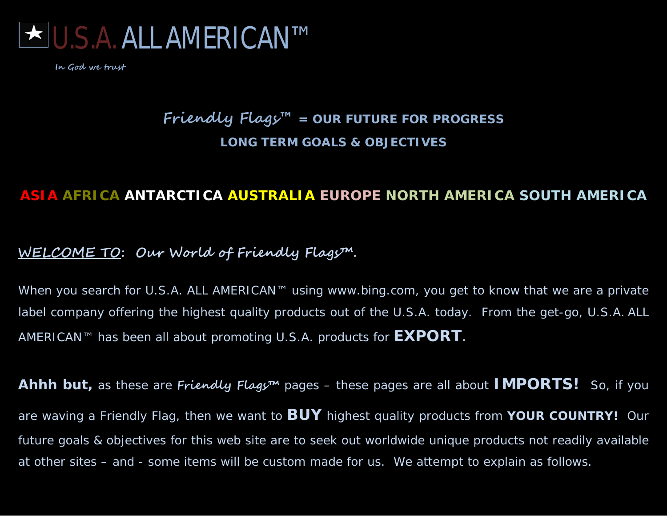

# **Friendly Flags™ = OUR FUTURE FOR PROGRESS LONG TERM GOALS & OBJECTIVES**

# **ASIA AFRICA ANTARCTICA AUSTRALIA EUROPE NORTH AMERICA SOUTH AMERICA**

# **WELCOME TO : Our World of Friendly Flags™.**

When you search for U.S.A. ALL AMERICAN™ using www.bing.com, you get to know that we are a private label company offering the highest quality products out of the U.S.A. today. From the get-go, U.S.A. ALL AMERICAN™ has been all about promoting U.S.A*.* products for **EXPORT**.

**Ahhh but,** as these are **Friendly Flags™** pages – these pages are all about **IMPORTS!** So, if you are waving a Friendly Flag, then we want to **BUY** highest quality products from **YOUR COUNTRY!** Our future goals & objectives for this web site are to seek out worldwide unique products not readily available at other sites – and - some items will be custom made for us. We attempt to explain as follows.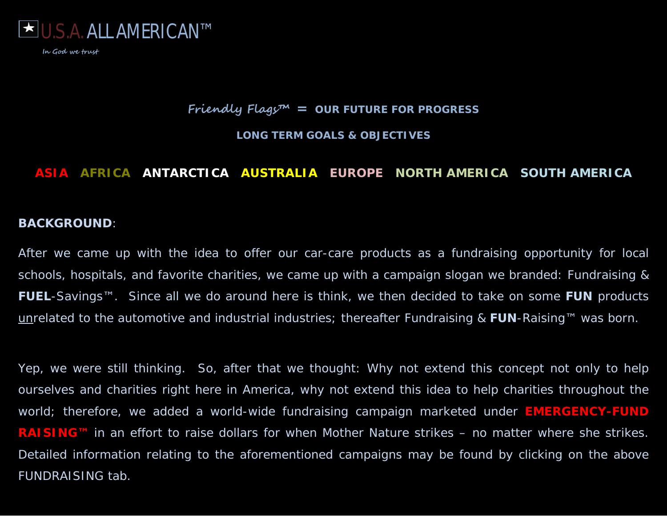

#### **Friendly Flags™ = OUR FUTURE FOR PROGRESS**

**LONG TERM GOALS & OBJECTIVES**

# **ASIA AFRICA ANTARCTICA AUSTRALIA EUROPE NORTH AMERICA SOUTH AMERICA**

#### **BACKGROUND**:

After we came up with the idea to offer our car-care products as a fundraising opportunity for local schools, hospitals, and favorite charities, we came up with a campaign slogan we branded: Fundraising & **FUEL**-Savings™. Since all we do around here is think, we then decided to take on some **FUN** products unrelated to the automotive and industrial industries; thereafter Fundraising & **FUN**-Raising™ was born.

Yep, we were still thinking. So, after that we thought: Why not extend this concept not only to help ourselves and charities right here in America, why not extend this idea to help charities throughout the world; therefore, we added a world-wide fundraising campaign marketed under **EMERGENCY-FUND RAISING™** in an effort to raise dollars for when Mother Nature strikes – no matter where she strikes. Detailed information relating to the aforementioned campaigns may be found by clicking on the above FUNDRAISING tab.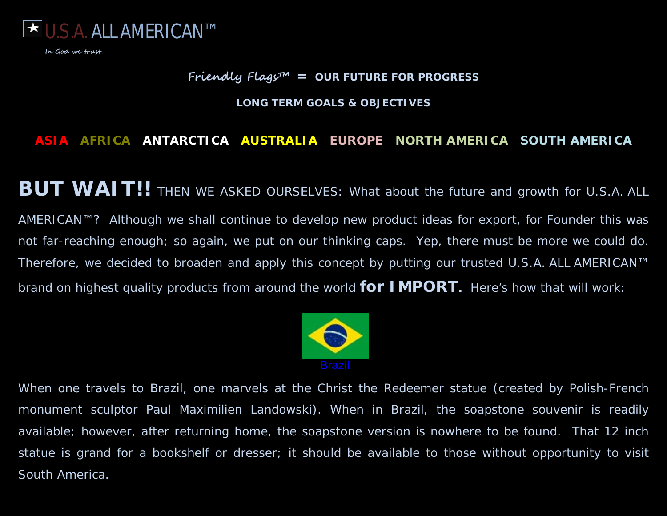

## **Friendly Flags™ = OUR FUTURE FOR PROGRESS**

#### **LONG TERM GOALS & OBJECTIVES**

## **ASIA AFRICA ANTARCTICA AUSTRALIA EUROPE NORTH AMERICA SOUTH AMERICA**

**BUT WAIT!!** THEN WE ASKED OURSELVES: What about the future and growth for U.S.A. ALL AMERICAN™? Although we shall continue to develop new product ideas for export, for Founder this was not far-reaching enough; so again, we put on our thinking caps. Yep, there must be more we could do. Therefore, we decided to broaden and apply this concept by putting our trusted U.S.A. ALL AMERICAN™ brand on highest quality products from around the world **for IMPORT.** Here's how that will work:



When one travels to Brazil, one marvels at the Christ the Redeemer statue (created by Polish-French monument sculptor Paul *Maximilien* Landowski). When in Brazil, the soapstone souvenir is readily available; however, after returning home, the soapstone version is nowhere to be found. That 12 inch statue is grand for a bookshelf or dresser; it should be available to those without opportunity to visit South America.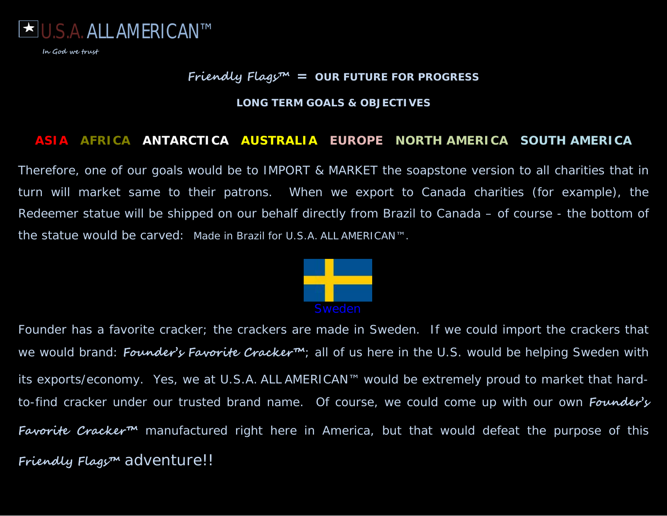

# **Friendly Flags™ = OUR FUTURE FOR PROGRESS**

#### **LONG TERM GOALS & OBJECTIVES**

#### **ASIA AFRICA ANTARCTICA AUSTRALIA EUROPE NORTH AMERICA SOUTH AMERICA**

Therefore, one of our goals would be to IMPORT & MARKET the soapstone version to all charities that in turn will market same to their patrons. When we export to Canada charities (for example), the Redeemer statue will be shipped on our behalf directly from Brazil to Canada – of course - the bottom of the statue would be carved: *Made in Brazil for* U.S.A. ALL AMERICAN™.



Founder has a favorite cracker; the crackers are made in Sweden. If we could import the crackers that we would brand: **Founder's Favorite Cracker™**; all of us here in the U.S. would be helping Sweden with its exports/economy. Yes, we at U.S.A. ALL AMERICAN™ would be extremely proud to market that hardto-find cracker under our trusted brand name. Of course, we could come up with our own **Founder's Favorite Cracker™** manufactured right here in America, but that would defeat the purpose of this **Friendly Flags™** adventure!!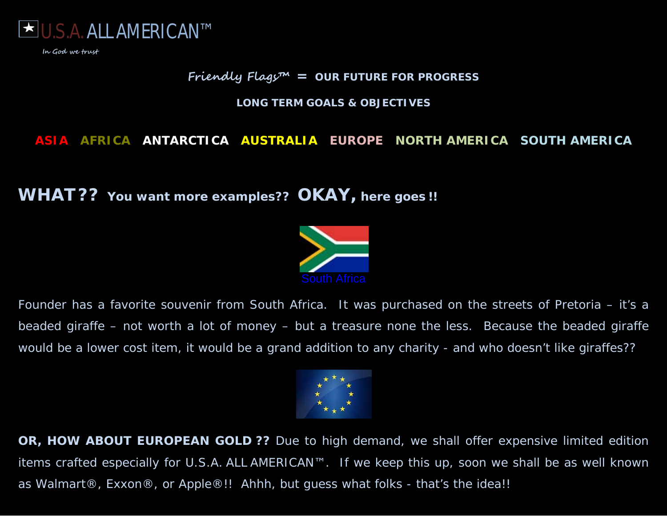

# **Friendly Flags™ = OUR FUTURE FOR PROGRESS**

#### **LONG TERM GOALS & OBJECTIVES**

# **ASIA AFRICA ANTARCTICA AUSTRALIA EUROPE NORTH AMERICA SOUTH AMERICA**

# **WHAT?? You want more examples?? OKAY, here goes !!**



Founder has a favorite souvenir from South Africa. It was purchased on the streets of Pretoria – it's a beaded giraffe – not worth a lot of money – but a treasure none the less. Because the beaded giraffe would be a lower cost item, it would be a grand addition to any charity - and who doesn't like giraffes??



**OR, HOW ABOUT EUROPEAN GOLD ??** Due to high demand, we shall offer expensive limited edition items crafted especially for U.S.A. ALL AMERICAN™. If we keep this up, soon we shall be as well known as Walmart®, Exxon®, or Apple®!! Ahhh, but guess what folks - that's the idea!!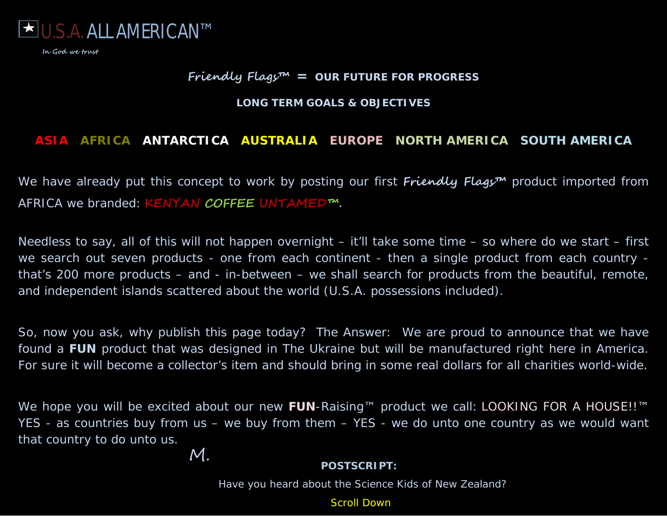

# **Friendly Flags™ = OUR FUTURE FOR PROGRESS**

#### **LONG TERM GOALS & OBJECTIVES**

# **ASIA AFRICA ANTARCTICA AUSTRALIA EUROPE NORTH AMERICA SOUTH AMERICA**

We have already put this concept to work by posting our first *Friendly Flagy*<sup>m</sup> product imported from AFRICA we branded: **KENYAN COFFEE UNTAMED™.**

Needless to say, all of this will not happen overnight – it'll take some time – so where do we start – first we search out seven products - one from each continent - then a single product from each country that's 200 more products – and - in-between – we shall search for products from the beautiful, remote, and independent islands scattered about the world (U.S.A. possessions included).

So, now you ask, why publish this page today? The Answer: We are proud to announce that we have found a **FUN** product that was designed in The Ukraine but will be manufactured right here in America. For sure it will become a collector's item and should bring in some real dollars for all charities world-wide.

We hope you will be excited about our new FUN-Raising™ product we call: LOOKING FOR A HOUSE!!<sup>™</sup> YES - as countries buy from us – we buy from them – YES - we do unto one country as we would want that country to do unto us. M.

#### **POSTSCRIPT:**

Have you heard about the Science Kids of New Zealand?

Scroll Down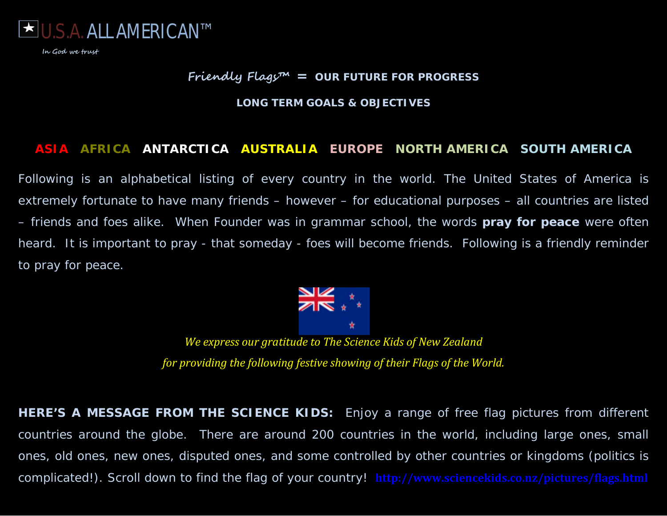

# **Friendly Flags™ = OUR FUTURE FOR PROGRESS**

#### **LONG TERM GOALS & OBJECTIVES**

#### **ASIA AFRICA ANTARCTICA AUSTRALIA EUROPE NORTH AMERICA SOUTH AMERICA**

Following is an alphabetical listing of every country in the world. *The United States of America* is extremely fortunate to have many friends – however – for educational purposes – all countries are listed – friends and foes alike. When Founder was in grammar school, the words *pray for peace* were often heard. It is important to pray - that someday - foes will become friends. Following is a friendly reminder to pray for peace.



*We express our gratitude to The Science Kids of New Zealand for providing the following festive showing of their Flags of the World.*

**HERE'S A MESSAGE FROM THE SCIENCE KIDS***: Enjoy a range of free flag pictures from different countries around the globe. There are around 200 countries in the world, including large ones, small ones, old ones, new ones, disputed ones, and some controlled by other countries or kingdoms (politics is complicated!). Scroll down to find the flag of your country!* **http://www.sciencekids.co.nz/pictures/flags.html**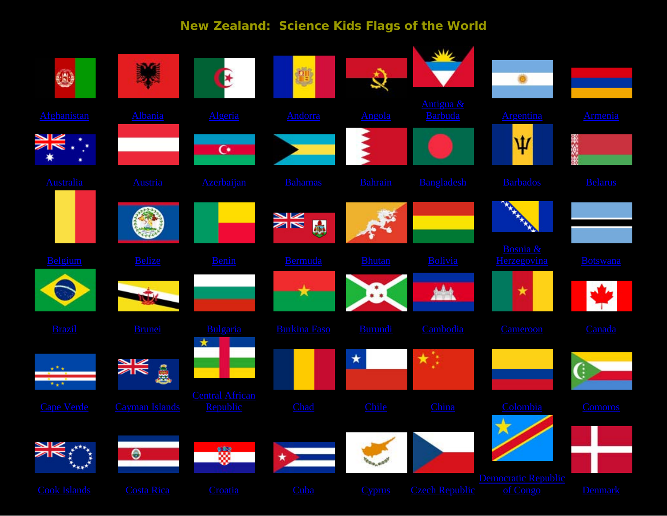# **New Zealand: Science Kids Flags of the World**

| ٧                   |                       | $\mathbf{E}$                       | Ŵ                   |                |                             |                                 |                 |
|---------------------|-----------------------|------------------------------------|---------------------|----------------|-----------------------------|---------------------------------|-----------------|
| Afghanistan         | Albania               | Algeria                            | <b>Andorra</b>      | Angola         | Antigua &<br><b>Barbuda</b> | <b>Argentina</b>                | Armenia         |
|                     |                       | $\mathbf{C}^*$                     |                     |                |                             | Ψ                               | 88.08           |
| <b>Australia</b>    | <b>Austria</b>        | Azerbaijan                         | <b>Bahamas</b>      | <b>Bahrain</b> | Bangladesh                  | <b>Barbados</b>                 | <b>Belarus</b>  |
|                     |                       |                                    | NK<br>M<br>品        |                |                             |                                 |                 |
| Belgium             | <b>Belize</b>         | <b>Benin</b>                       | Bermuda             | <b>Bhutan</b>  | Bolivia                     | Bosnia &<br>Herzegovina         | <b>Botswana</b> |
|                     |                       |                                    |                     |                |                             | $\star$                         |                 |
| <b>Brazil</b>       | <b>Brunei</b>         | Bulgaria                           | <b>Burkina Faso</b> | Burundi        | Cambodia                    | Cameroon                        | Canada          |
| 大金米                 | ĝ                     |                                    |                     | $\star$        | 大学                          |                                 | ſ:              |
| <b>Cape Verde</b>   | <b>Cayman Islands</b> | <b>Central African</b><br>Republic | Chad                | Chile          | China                       | Colombia                        | <b>Comoros</b>  |
| <b>KKKKK</b>        | $\Theta$              | 釁                                  | ×                   |                |                             | $\Lambda$<br>闪                  |                 |
| <b>Cook Islands</b> | <b>Costa Rica</b>     | Croatia                            | Cuba                | <b>Cyprus</b>  | <b>Czech Republic</b>       | Democratic Republic<br>of Congo | <b>Denmark</b>  |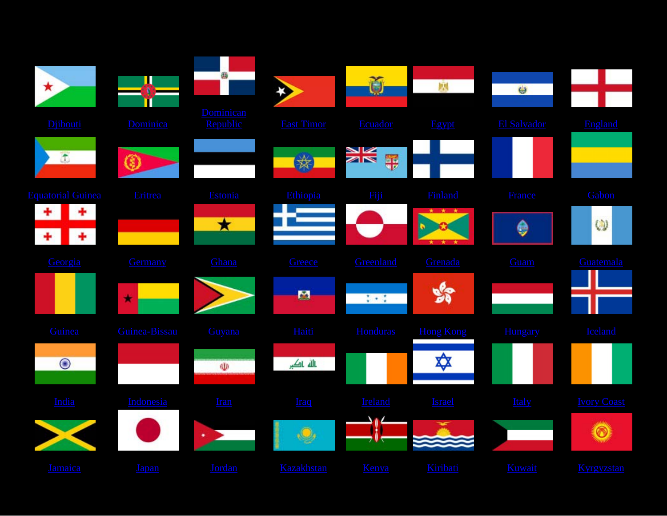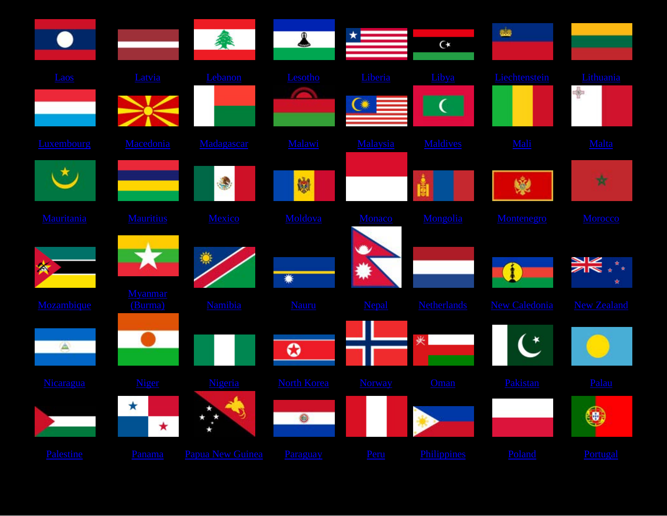|             |                           | 黍                                                        | $\bullet$          |               | $C^*$              | als.          |                    |
|-------------|---------------------------|----------------------------------------------------------|--------------------|---------------|--------------------|---------------|--------------------|
| Laos        | Latvia                    | Lebanon                                                  | Lesotho            | Liberia       | Libya              | Liechtenstein | Lithuania<br>♣     |
| Luxembourg  | Macedonia                 | Madagascar                                               | Malawi             | Malaysia      | <b>Maldives</b>    | Mali          | Malta              |
|             |                           | ٩                                                        | 皦                  |               | Ŭ                  | 曛             | 贲                  |
| Mauritania  | <b>Mauritius</b>          | Mexico                                                   | Moldova            | Monaco        | Mongolia           | Montenegro    | Morocco            |
| ★           |                           |                                                          |                    |               |                    |               |                    |
| Mozambique  | <b>Myanmar</b><br>(Burma) | <b>Namibia</b>                                           | Nauru              | Nepal         | <b>Netherlands</b> | New Caledonia | <b>New Zealand</b> |
| $\triangle$ |                           |                                                          | ၀                  |               | 夹                  | Ć             |                    |
| Nicaragua   | <b>Niger</b>              | Nigeria                                                  | <b>North Korea</b> | <b>Norway</b> | Oman               | Pakistan      | Palau              |
|             | $\star$<br>★              | S)                                                       | $\circledcirc$     |               |                    |               | $(\mathbf{0})$     |
| Palestine   |                           | Panama Papua New Guinea Paraguay Peru Philippines Poland |                    |               |                    |               | Portugal           |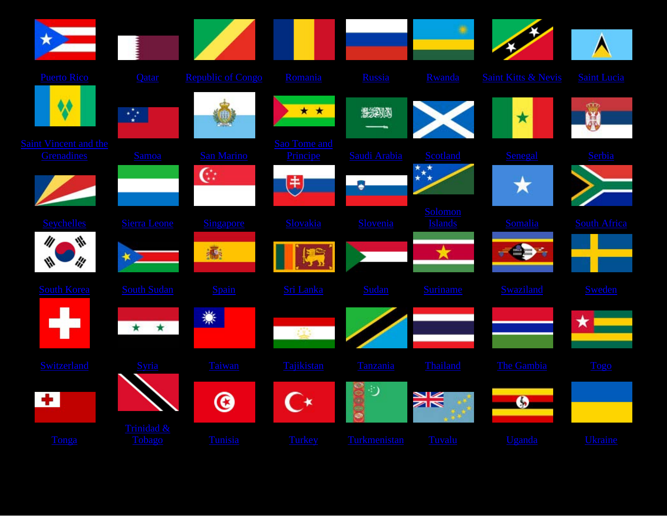|                                    |                      |                          |                          |              | ۰                         |                                |                |
|------------------------------------|----------------------|--------------------------|--------------------------|--------------|---------------------------|--------------------------------|----------------|
| <b>Puerto Rico</b>                 | Qatar                | <b>Republic of Congo</b> | Romania                  | Russia       | Rwanda                    | <b>Saint Kitts &amp; Nevis</b> | Saint Lucia    |
|                                    |                      |                          | * *                      | 多笑以为         |                           | $\star$                        | ത<br>X         |
| aint Vincent and the<br>Grenadines | <b>Samoa</b>         | <b>San Marino</b>        | Sao Tome and<br>Principe | Saudi Arabia | Scotland                  | Senegal                        | Serbia         |
|                                    |                      | $C^*$                    | 电                        |              | $^\star$<br>™∗            |                                |                |
| Seychelles                         | <b>Sierra Leone</b>  | Singapore                | Slovakia                 | Slovenia     | Solomon<br><b>Islands</b> | Somalia                        | South Africa   |
| III<br>₩                           | ∗                    | 瓣                        |                          |              |                           |                                |                |
| <b>South Korea</b>                 | <b>South Sudan</b>   | Spain                    | Sri Lanka                | Sudan        | <b>Suriname</b>           | Swaziland                      | <b>Sweden</b>  |
|                                    | $\star$<br>$\star$   | ☀                        | œ                        |              |                           |                                | ★              |
| Switzerland                        | <b>Syria</b>         | Taiwan                   | Tajikistan               | Tanzania     | Thailand                  | The Gambia                     | Togo           |
| ۰.                                 |                      | <b>©</b>                 |                          |              | XK                        | G                              |                |
| Tonga                              | Trinidad &<br>Tobago | Tunisia                  | Turkey                   | Turkmenistan | Tuvalu                    | Uganda                         | <b>Ukraine</b> |